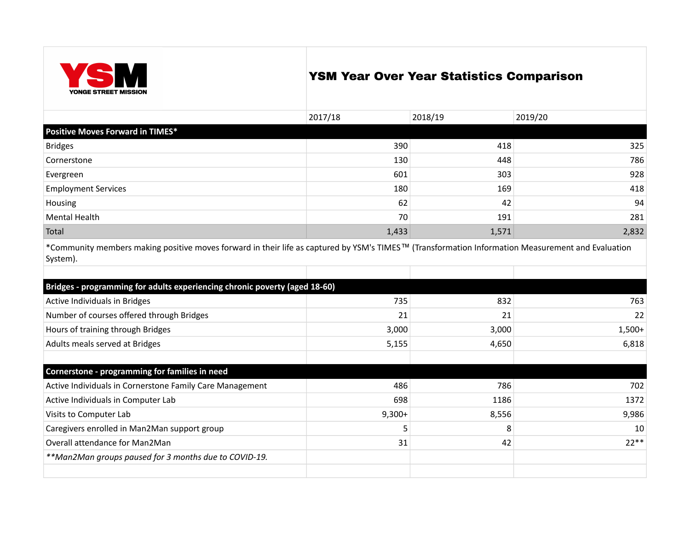

## YSM Year Over Year Statistics Comparison

|                                                                                                                                                                            | 2017/18  | 2018/19 | 2019/20  |
|----------------------------------------------------------------------------------------------------------------------------------------------------------------------------|----------|---------|----------|
| <b>Positive Moves Forward in TIMES*</b>                                                                                                                                    |          |         |          |
| <b>Bridges</b>                                                                                                                                                             | 390      | 418     | 325      |
| Cornerstone                                                                                                                                                                | 130      | 448     | 786      |
| Evergreen                                                                                                                                                                  | 601      | 303     | 928      |
| <b>Employment Services</b>                                                                                                                                                 | 180      | 169     | 418      |
| Housing                                                                                                                                                                    | 62       | 42      | 94       |
| <b>Mental Health</b>                                                                                                                                                       | 70       | 191     | 281      |
| Total                                                                                                                                                                      | 1,433    | 1,571   | 2,832    |
| *Community members making positive moves forward in their life as captured by YSM's TIMES <sup>TM</sup> (Transformation Information Measurement and Evaluation<br>System). |          |         |          |
|                                                                                                                                                                            |          |         |          |
| Bridges - programming for adults experiencing chronic poverty (aged 18-60)                                                                                                 |          |         |          |
| Active Individuals in Bridges                                                                                                                                              | 735      | 832     | 763      |
| Number of courses offered through Bridges                                                                                                                                  | 21       | 21      | 22       |
| Hours of training through Bridges                                                                                                                                          | 3,000    | 3,000   | $1,500+$ |
| Adults meals served at Bridges                                                                                                                                             | 5,155    | 4,650   | 6,818    |
|                                                                                                                                                                            |          |         |          |
| Cornerstone - programming for families in need                                                                                                                             |          |         |          |
| Active Individuals in Cornerstone Family Care Management                                                                                                                   | 486      | 786     | 702      |
| Active Individuals in Computer Lab                                                                                                                                         | 698      | 1186    | 1372     |
| Visits to Computer Lab                                                                                                                                                     | $9,300+$ | 8,556   | 9,986    |
| Caregivers enrolled in Man2Man support group                                                                                                                               | 5        | 8       | 10       |
| Overall attendance for Man2Man                                                                                                                                             | 31       | 42      | $22**$   |
| **Man2Man groups paused for 3 months due to COVID-19.                                                                                                                      |          |         |          |
|                                                                                                                                                                            |          |         |          |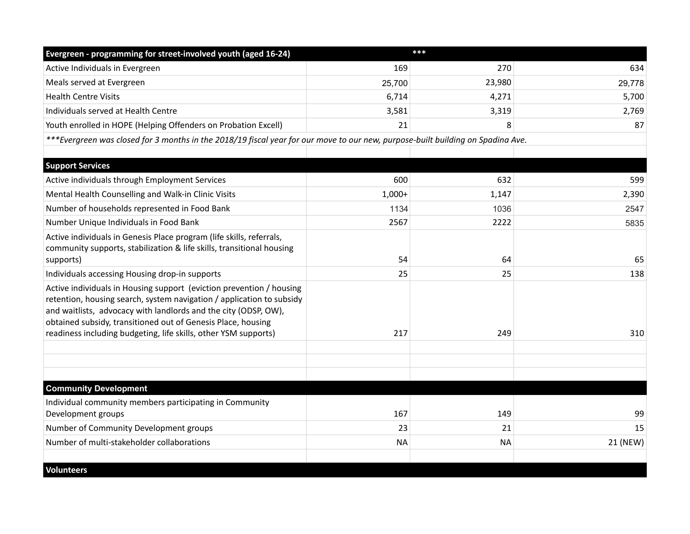| Evergreen - programming for street-involved youth (aged 16-24)                                                                                                                                                                                                                                                                                      |           | ***       |          |
|-----------------------------------------------------------------------------------------------------------------------------------------------------------------------------------------------------------------------------------------------------------------------------------------------------------------------------------------------------|-----------|-----------|----------|
| Active Individuals in Evergreen                                                                                                                                                                                                                                                                                                                     | 169       | 270       | 634      |
| Meals served at Evergreen                                                                                                                                                                                                                                                                                                                           | 25,700    | 23,980    | 29,778   |
| <b>Health Centre Visits</b>                                                                                                                                                                                                                                                                                                                         | 6,714     | 4,271     | 5,700    |
| Individuals served at Health Centre                                                                                                                                                                                                                                                                                                                 | 3,581     | 3,319     | 2,769    |
| Youth enrolled in HOPE (Helping Offenders on Probation Excell)                                                                                                                                                                                                                                                                                      | 21        | 8         | 87       |
| ***Evergreen was closed for 3 months in the 2018/19 fiscal year for our move to our new, purpose-built building on Spadina Ave.                                                                                                                                                                                                                     |           |           |          |
|                                                                                                                                                                                                                                                                                                                                                     |           |           |          |
| <b>Support Services</b>                                                                                                                                                                                                                                                                                                                             |           |           |          |
| Active individuals through Employment Services                                                                                                                                                                                                                                                                                                      | 600       | 632       | 599      |
| Mental Health Counselling and Walk-in Clinic Visits                                                                                                                                                                                                                                                                                                 | $1,000+$  | 1,147     | 2,390    |
| Number of households represented in Food Bank                                                                                                                                                                                                                                                                                                       | 1134      | 1036      | 2547     |
| Number Unique Individuals in Food Bank                                                                                                                                                                                                                                                                                                              | 2567      | 2222      | 5835     |
| Active individuals in Genesis Place program (life skills, referrals,<br>community supports, stabilization & life skills, transitional housing<br>supports)                                                                                                                                                                                          | 54        | 64        | 65       |
| Individuals accessing Housing drop-in supports                                                                                                                                                                                                                                                                                                      | 25        | 25        | 138      |
| Active individuals in Housing support (eviction prevention / housing<br>retention, housing search, system navigation / application to subsidy<br>and waitlists, advocacy with landlords and the city (ODSP, OW),<br>obtained subsidy, transitioned out of Genesis Place, housing<br>readiness including budgeting, life skills, other YSM supports) | 217       | 249       | 310      |
| <b>Community Development</b>                                                                                                                                                                                                                                                                                                                        |           |           |          |
|                                                                                                                                                                                                                                                                                                                                                     |           |           |          |
| Individual community members participating in Community<br>Development groups                                                                                                                                                                                                                                                                       | 167       | 149       | 99       |
| Number of Community Development groups                                                                                                                                                                                                                                                                                                              | 23        | 21        | 15       |
| Number of multi-stakeholder collaborations                                                                                                                                                                                                                                                                                                          | <b>NA</b> | <b>NA</b> | 21 (NEW) |
| <b>Volunteers</b>                                                                                                                                                                                                                                                                                                                                   |           |           |          |